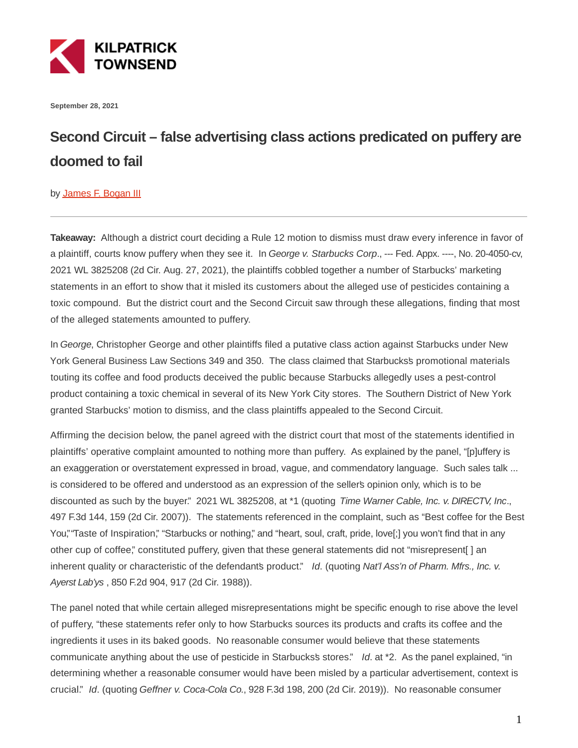

**September 28, 2021**

## **Second Circuit – false advertising class actions predicated on puffery are doomed to fail**

## by **James F. Bogan III**

**Takeaway:** Although a district court deciding a Rule 12 motion to dismiss must draw every inference in favor of a plaintiff, courts know puffery when they see it. In George v. Starbucks Corp., --- Fed. Appx. ----, No. 20-4050-cv, 2021 WL 3825208 (2d Cir. Aug. 27, 2021), the plaintiffs cobbled together a number of Starbucks' marketing statements in an effort to show that it misled its customers about the alleged use of pesticides containing a toxic compound. But the district court and the Second Circuit saw through these allegations, finding that most of the alleged statements amounted to puffery.

In George, Christopher George and other plaintiffs filed a putative class action against Starbucks under New York General Business Law Sections 349 and 350. The class claimed that Starbucks's promotional materials touting its coffee and food products deceived the public because Starbucks allegedly uses a pest-control product containing a toxic chemical in several of its New York City stores. The Southern District of New York granted Starbucks' motion to dismiss, and the class plaintiffs appealed to the Second Circuit.

Affirming the decision below, the panel agreed with the district court that most of the statements identified in plaintiffs' operative complaint amounted to nothing more than puffery. As explained by the panel, "[p]uffery is an exaggeration or overstatement expressed in broad, vague, and commendatory language. Such sales talk ... is considered to be offered and understood as an expression of the seller's opinion only, which is to be discounted as such by the buyer." 2021 WL 3825208, at \*1 (quoting Time Warner Cable, Inc. v. DIRECTV, Inc., 497 F.3d 144, 159 (2d Cir. 2007)). The statements referenced in the complaint, such as "Best coffee for the Best You," Taste of Inspiration," "Starbucks or nothing," and "heart, soul, craft, pride, love[;] you won't find that in any other cup of coffee," constituted puffery, given that these general statements did not "misrepresent[ ] an inherent quality or characteristic of the defendants product." Id. (quoting Nat'l Ass'n of Pharm. Mfrs., Inc. v. Ayerst Lab'ys , 850 F.2d 904, 917 (2d Cir. 1988)).

The panel noted that while certain alleged misrepresentations might be specific enough to rise above the level of puffery, "these statements refer only to how Starbucks sources its products and crafts its coffee and the ingredients it uses in its baked goods. No reasonable consumer would believe that these statements communicate anything about the use of pesticide in Starbucks's stores." Id. at \*2. As the panel explained, "in determining whether a reasonable consumer would have been misled by a particular advertisement, context is crucial." Id. (quoting Geffner v. Coca-Cola Co., 928 F.3d 198, 200 (2d Cir. 2019)). No reasonable consumer